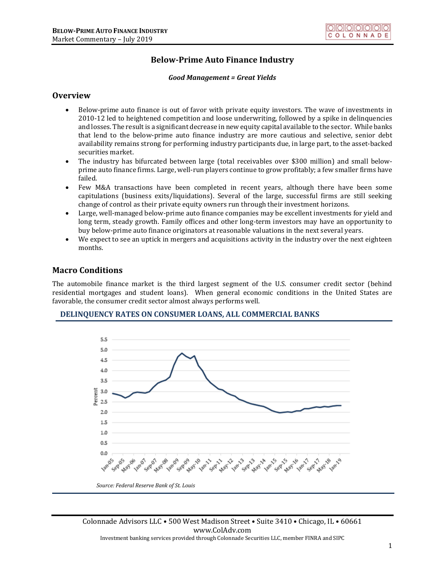# **Below-Prime Auto Finance Industry**

#### *Good Management = Great Yields*

### **Overview**

- Below-prime auto finance is out of favor with private equity investors. The wave of investments in 2010-12 led to heightened competition and loose underwriting, followed by a spike in delinquencies and losses. The result is a significant decrease in new equity capital available to the sector. While banks that lend to the below-prime auto finance industry are more cautious and selective, senior debt availability remains strong for performing industry participants due, in large part, to the asset-backed securities market.
- The industry has bifurcated between large (total receivables over \$300 million) and small belowprime auto finance firms. Large, well-run players continue to grow profitably; a few smaller firms have failed.
- Few M&A transactions have been completed in recent years, although there have been some capitulations (business exits/liquidations). Several of the large, successful firms are still seeking change of control as their private equity owners run through their investment horizons.
- Large, well-managed below-prime auto finance companies may be excellent investments for yield and long term, steady growth. Family offices and other long-term investors may have an opportunity to buy below-prime auto finance originators at reasonable valuations in the next several years.
- We expect to see an uptick in mergers and acquisitions activity in the industry over the next eighteen months.

## **Macro Conditions**

The automobile finance market is the third largest segment of the U.S. consumer credit sector (behind residential mortgages and student loans). When general economic conditions in the United States are favorable, the consumer credit sector almost always performs well.

### **DELINQUENCY RATES ON CONSUMER LOANS, ALL COMMERCIAL BANKS**

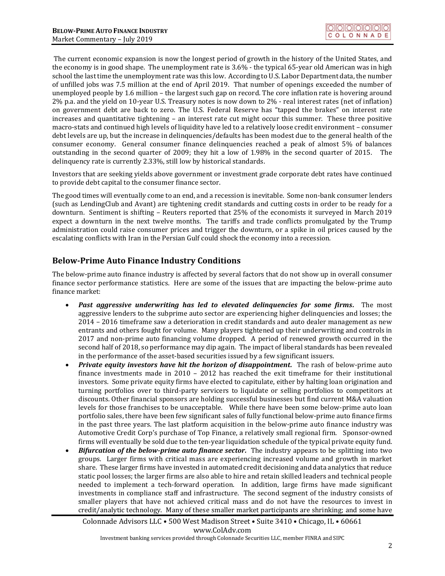The current economic expansion is now the longest period of growth in the history of the United States, and the economy is in good shape. The unemployment rate is 3.6% - the typical 65-year old American was in high school the last time the unemployment rate was this low. According to U.S. Labor Department data, the number of unfilled jobs was 7.5 million at the end of April 2019. That number of openings exceeded the number of unemployed people by 1.6 million – the largest such gap on record. The core inflation rate is hovering around 2% p.a. and the yield on 10-year U.S. Treasury notes is now down to 2% - real interest rates (net of inflation) on government debt are back to zero. The U.S. Federal Reserve has "tapped the brakes" on interest rate increases and quantitative tightening – an interest rate cut might occur this summer. These three positive macro-stats and continued high levels of liquidity have led to a relatively loose credit environment – consumer debt levels are up, but the increase in delinquencies/defaults has been modest due to the general health of the consumer economy. General consumer finance delinquencies reached a peak of almost 5% of balances outstanding in the second quarter of 2009; they hit a low of 1.98% in the second quarter of 2015. The delinquency rate is currently 2.33%, still low by historical standards.

Investors that are seeking yields above government or investment grade corporate debt rates have continued to provide debt capital to the consumer finance sector.

The good times will eventually come to an end, and a recession is inevitable. Some non-bank consumer lenders (such as LendingClub and Avant) are tightening credit standards and cutting costs in order to be ready for a downturn. Sentiment is shifting – Reuters reported that 25% of the economists it surveyed in March 2019 expect a downturn in the next twelve months. The tariffs and trade conflicts promulgated by the Trump administration could raise consumer prices and trigger the downturn, or a spike in oil prices caused by the escalating conflicts with Iran in the Persian Gulf could shock the economy into a recession.

## **Below-Prime Auto Finance Industry Conditions**

The below-prime auto finance industry is affected by several factors that do not show up in overall consumer finance sector performance statistics. Here are some of the issues that are impacting the below-prime auto finance market:

- *Past aggressive underwriting has led to elevated delinquencies for some firms.* The most aggressive lenders to the subprime auto sector are experiencing higher delinquencies and losses; the 2014 – 2016 timeframe saw a deterioration in credit standards and auto dealer management as new entrants and others fought for volume. Many players tightened up their underwriting and controls in 2017 and non-prime auto financing volume dropped. A period of renewed growth occurred in the second half of 2018, so performance may dip again. The impact of liberal standards has been revealed in the performance of the asset-based securities issued by a few significant issuers.
- *Private equity investors have hit the horizon of disappointment.* The rash of below-prime auto finance investments made in 2010 – 2012 has reached the exit timeframe for their institutional investors. Some private equity firms have elected to capitulate, either by halting loan origination and turning portfolios over to third-party servicers to liquidate or selling portfolios to competitors at discounts. Other financial sponsors are holding successful businesses but find current M&A valuation levels for those franchises to be unacceptable. While there have been some below-prime auto loan portfolio sales, there have been few significant sales of fully functional below-prime auto finance firms in the past three years. The last platform acquisition in the below-prime auto finance industry was Automotive Credit Corp's purchase of Top Finance, a relatively small regional firm. Sponsor-owned firms will eventually be sold due to the ten-year liquidation schedule of the typical private equity fund.
- *Bifurcation of the below-prime auto finance sector.* The industry appears to be splitting into two groups. Larger firms with critical mass are experiencing increased volume and growth in market share. These larger firms have invested in automated credit decisioning and data analytics that reduce static pool losses; the larger firms are also able to hire and retain skilled leaders and technical people needed to implement a tech-forward operation. In addition, large firms have made significant investments in compliance staff and infrastructure. The second segment of the industry consists of smaller players that have not achieved critical mass and do not have the resources to invest in credit/analytic technology. Many of these smaller market participants are shrinking; and some have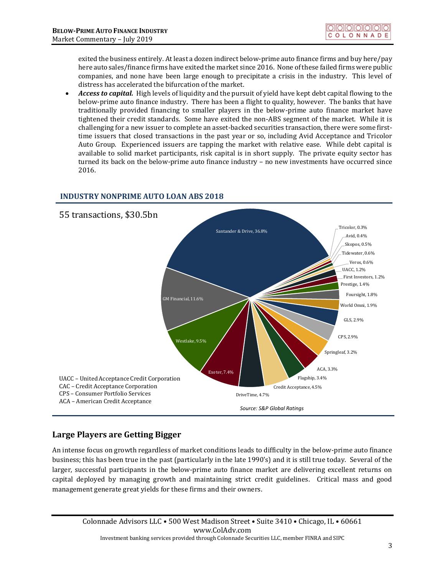exited the business entirely. At least a dozen indirect below-prime auto finance firms and buy here/pay here auto sales/finance firms have exited the market since 2016. None of these failed firms were public companies, and none have been large enough to precipitate a crisis in the industry. This level of distress has accelerated the bifurcation of the market.

• *Access to capital.* High levels of liquidity and the pursuit of yield have kept debt capital flowing to the below-prime auto finance industry. There has been a flight to quality, however. The banks that have traditionally provided financing to smaller players in the below-prime auto finance market have tightened their credit standards. Some have exited the non-ABS segment of the market. While it is challenging for a new issuer to complete an asset-backed securities transaction, there were some firsttime issuers that closed transactions in the past year or so, including Avid Acceptance and Tricolor Auto Group. Experienced issuers are tapping the market with relative ease. While debt capital is available to solid market participants, risk capital is in short supply. The private equity sector has turned its back on the below-prime auto finance industry – no new investments have occurred since 2016.

## **INDUSTRY NONPRIME AUTO LOAN ABS 2018**



# **Large Players are Getting Bigger**

An intense focus on growth regardless of market conditions leads to difficulty in the below-prime auto finance business; this has been true in the past (particularly in the late 1990's) and it is still true today. Several of the larger, successful participants in the below-prime auto finance market are delivering excellent returns on capital deployed by managing growth and maintaining strict credit guidelines. Critical mass and good management generate great yields for these firms and their owners.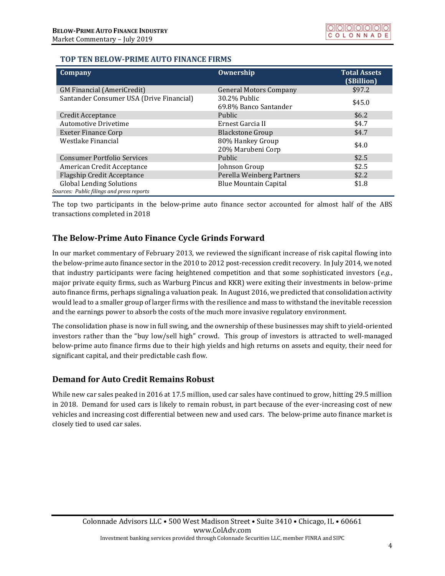### **TOP TEN BELOW-PRIME AUTO FINANCE FIRMS**

| Company                                                                      | Ownership                             | <b>Total Assets</b><br>(\$Billion) |
|------------------------------------------------------------------------------|---------------------------------------|------------------------------------|
| <b>GM Financial (AmeriCredit)</b>                                            | <b>General Motors Company</b>         | \$97.2                             |
| Santander Consumer USA (Drive Financial)                                     | 30.2% Public<br>69.8% Banco Santander | \$45.0                             |
| <b>Credit Acceptance</b>                                                     | <b>Public</b>                         | \$6.2\$                            |
| <b>Automotive Drivetime</b>                                                  | Ernest Garcia II                      | \$4.7                              |
| <b>Exeter Finance Corp</b>                                                   | <b>Blackstone Group</b>               | \$4.7                              |
| Westlake Financial                                                           | 80% Hankey Group<br>20% Marubeni Corp | \$4.0                              |
| <b>Consumer Portfolio Services</b>                                           | Public                                | \$2.5                              |
| American Credit Acceptance                                                   | Johnson Group                         | \$2.5                              |
| <b>Flagship Credit Acceptance</b>                                            | Perella Weinberg Partners             | \$2.2                              |
| <b>Global Lending Solutions</b><br>Sources: Public filings and press reports | <b>Blue Mountain Capital</b>          | \$1.8                              |

The top two participants in the below-prime auto finance sector accounted for almost half of the ABS transactions completed in 2018

# **The Below-Prime Auto Finance Cycle Grinds Forward**

In our market commentary of February 2013, we reviewed the significant increase of risk capital flowing into the below-prime auto finance sector in the 2010 to 2012 post-recession credit recovery. In July 2014, we noted that industry participants were facing heightened competition and that some sophisticated investors (*e.g.*, major private equity firms, such as Warburg Pincus and KKR) were exiting their investments in below-prime auto finance firms, perhaps signaling a valuation peak. In August 2016, we predicted that consolidation activity would lead to a smaller group of larger firms with the resilience and mass to withstand the inevitable recession and the earnings power to absorb the costs of the much more invasive regulatory environment.

The consolidation phase is now in full swing, and the ownership of these businesses may shift to yield-oriented investors rather than the "buy low/sell high" crowd. This group of investors is attracted to well-managed below-prime auto finance firms due to their high yields and high returns on assets and equity, their need for significant capital, and their predictable cash flow.

# **Demand for Auto Credit Remains Robust**

While new car sales peaked in 2016 at 17.5 million, used car sales have continued to grow, hitting 29.5 million in 2018. Demand for used cars is likely to remain robust, in part because of the ever-increasing cost of new vehicles and increasing cost differential between new and used cars. The below-prime auto finance market is closely tied to used car sales.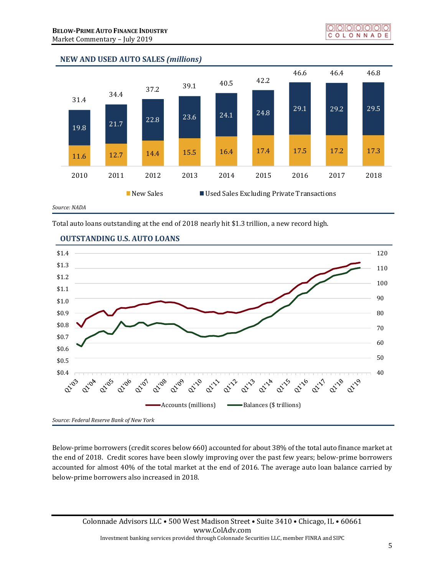### **NEW AND USED AUTO SALES** *(millions)*



Total auto loans outstanding at the end of 2018 nearly hit \$1.3 trillion, a new record high.



### **OUTSTANDING U.S. AUTO LOANS**

*Source: Federal Reserve Bank of New York*

Below-prime borrowers (credit scores below 660) accounted for about 38% of the total auto finance market at the end of 2018. Credit scores have been slowly improving over the past few years; below-prime borrowers accounted for almost 40% of the total market at the end of 2016. The average auto loan balance carried by below-prime borrowers also increased in 2018.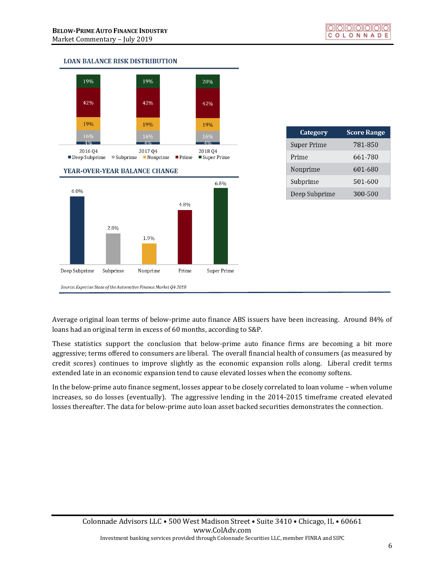### **LOAN BALANCE RISK DISTRIBUTION**



| Category           | <b>Score Range</b> |
|--------------------|--------------------|
| <b>Super Prime</b> | 781-850            |
| Prime              | 661-780            |
| Nonprime           | 601-680            |
| Subprime           | 501-600            |
| Deep Subprime      | 300-500            |

Average original loan terms of below-prime auto finance ABS issuers have been increasing. Around 84% of loans had an original term in excess of 60 months, according to S&P.

These statistics support the conclusion that below-prime auto finance firms are becoming a bit more aggressive; terms offered to consumers are liberal. The overall financial health of consumers (as measured by credit scores) continues to improve slightly as the economic expansion rolls along. Liberal credit terms extended late in an economic expansion tend to cause elevated losses when the economy softens.

In the below-prime auto finance segment, losses appear to be closely correlated to loan volume – when volume increases, so do losses (eventually). The aggressive lending in the 2014-2015 timeframe created elevated losses thereafter. The data for below-prime auto loan asset backed securities demonstrates the connection.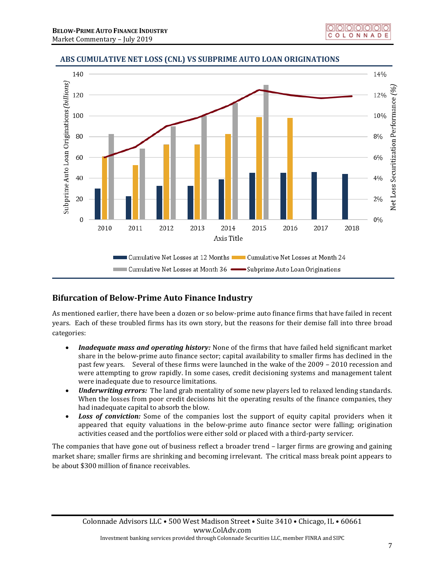

# **ABS CUMULATIVE NET LOSS (CNL) VS SUBPRIME AUTO LOAN ORIGINATIONS**

# **Bifurcation of Below-Prime Auto Finance Industry**

As mentioned earlier, there have been a dozen or so below-prime auto finance firms that have failed in recent years. Each of these troubled firms has its own story, but the reasons for their demise fall into three broad categories:

- *Inadequate mass and operating history:* None of the firms that have failed held significant market share in the below-prime auto finance sector; capital availability to smaller firms has declined in the past few years. Several of these firms were launched in the wake of the 2009 – 2010 recession and were attempting to grow rapidly. In some cases, credit decisioning systems and management talent were inadequate due to resource limitations.
- *Underwriting errors:* The land grab mentality of some new players led to relaxed lending standards. When the losses from poor credit decisions hit the operating results of the finance companies, they had inadequate capital to absorb the blow.
- **Loss of conviction:** Some of the companies lost the support of equity capital providers when it appeared that equity valuations in the below-prime auto finance sector were falling; origination activities ceased and the portfolios were either sold or placed with a third-party servicer.

The companies that have gone out of business reflect a broader trend – larger firms are growing and gaining market share; smaller firms are shrinking and becoming irrelevant. The critical mass break point appears to be about \$300 million of finance receivables.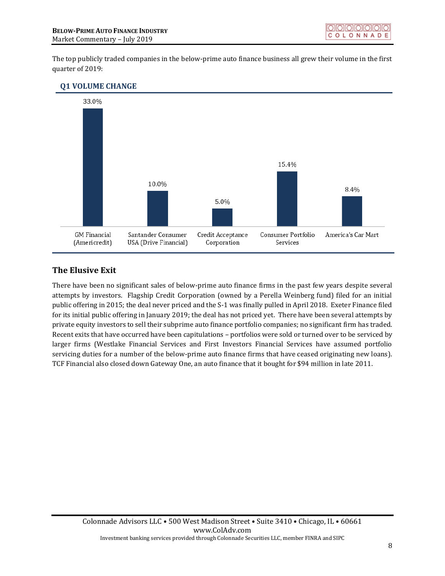The top publicly traded companies in the below-prime auto finance business all grew their volume in the first quarter of 2019:

#### **Q1 VOLUME CHANGE**



## **The Elusive Exit**

There have been no significant sales of below-prime auto finance firms in the past few years despite several attempts by investors. Flagship Credit Corporation (owned by a Perella Weinberg fund) filed for an initial public offering in 2015; the deal never priced and the S-1 was finally pulled in April 2018. Exeter Finance filed for its initial public offering in January 2019; the deal has not priced yet. There have been several attempts by private equity investors to sell their subprime auto finance portfolio companies; no significant firm has traded. Recent exits that have occurred have been capitulations – portfolios were sold or turned over to be serviced by larger firms (Westlake Financial Services and First Investors Financial Services have assumed portfolio servicing duties for a number of the below-prime auto finance firms that have ceased originating new loans). TCF Financial also closed down Gateway One, an auto finance that it bought for \$94 million in late 2011.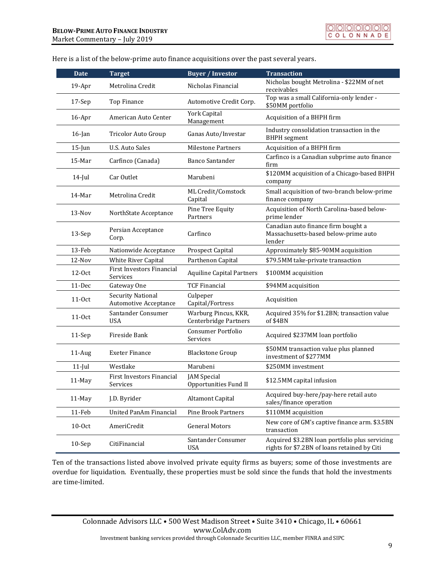| <b>Date</b> | <b>Target</b>                                            | <b>Buyer / Investor</b>                       | <b>Transaction</b>                                                                             |
|-------------|----------------------------------------------------------|-----------------------------------------------|------------------------------------------------------------------------------------------------|
| 19-Apr      | Metrolina Credit                                         | Nicholas Financial                            | Nicholas bought Metrolina - \$22MM of net<br>receivables                                       |
| 17-Sep      | Top Finance                                              | Automotive Credit Corp.                       | Top was a small California-only lender -<br>\$50MM portfolio                                   |
| $16$ -Apr   | American Auto Center                                     | <b>York Capital</b><br>Management             | Acquisition of a BHPH firm                                                                     |
| $16$ -Jan   | Tricolor Auto Group                                      | Ganas Auto/Investar                           | Industry consolidation transaction in the<br><b>BHPH</b> segment                               |
| $15$ -Jun   | <b>U.S. Auto Sales</b>                                   | <b>Milestone Partners</b>                     | Acquisition of a BHPH firm                                                                     |
| $15-Mar$    | Carfinco (Canada)                                        | <b>Banco Santander</b>                        | Carfinco is a Canadian subprime auto finance<br>firm                                           |
| $14$ -Jul   | Car Outlet                                               | Marubeni                                      | \$120MM acquisition of a Chicago-based BHPH<br>company                                         |
| 14-Mar      | Metrolina Credit                                         | ML Credit/Comstock<br>Capital                 | Small acquisition of two-branch below-prime<br>finance company                                 |
| $13-Nov$    | NorthState Acceptance                                    | Pine Tree Equity<br>Partners                  | Acquisition of North Carolina-based below-<br>prime lender                                     |
| 13-Sep      | Persian Acceptance<br>Corp.                              | Carfinco                                      | Canadian auto finance firm bought a<br>Massachusetts-based below-prime auto<br>lender          |
| 13-Feb      | Nationwide Acceptance                                    | <b>Prospect Capital</b>                       | Approximately \$85-90MM acquisition                                                            |
| 12-Nov      | White River Capital                                      | Parthenon Capital                             | \$79.5MM take-private transaction                                                              |
| 12-0ct      | <b>First Investors Financial</b><br>Services             | <b>Aquiline Capital Partners</b>              | \$100MM acquisition                                                                            |
| 11-Dec      | Gateway One                                              | <b>TCF Financial</b>                          | \$94MM acquisition                                                                             |
| 11-0ct      | <b>Security National</b><br><b>Automotive Acceptance</b> | Culpeper<br>Capital/Fortress                  | Acquisition                                                                                    |
| $11-0ct$    | Santander Consumer<br><b>USA</b>                         | Warburg Pincus, KKR,<br>Centerbridge Partners | Acquired 35% for \$1.2BN; transaction value<br>of \$4BN                                        |
| 11-Sep      | Fireside Bank                                            | <b>Consumer Portfolio</b><br>Services         | Acquired \$237MM loan portfolio                                                                |
| $11$ -Aug   | <b>Exeter Finance</b>                                    | <b>Blackstone Group</b>                       | \$50MM transaction value plus planned<br>investment of \$277MM                                 |
| $11$ -Jul   | Westlake                                                 | Marubeni                                      | \$250MM investment                                                                             |
| 11-May      | <b>First Investors Financial</b><br>Services             | <b>JAM</b> Special<br>Opportunities Fund II   | \$12.5MM capital infusion                                                                      |
| 11-May      | J.D. Byrider                                             | Altamont Capital                              | Acquired buy-here/pay-here retail auto<br>sales/finance operation                              |
| 11-Feb      | United PanAm Financial                                   | <b>Pine Brook Partners</b>                    | \$110MM acquisition                                                                            |
| $10-0ct$    | AmeriCredit                                              | <b>General Motors</b>                         | New core of GM's captive finance arm. \$3.5BN<br>transaction                                   |
| $10-$ Sep   | CitiFinancial                                            | Santander Consumer<br><b>USA</b>              | Acquired \$3.2BN loan portfolio plus servicing<br>rights for \$7.2BN of loans retained by Citi |

Here is a list of the below-prime auto finance acquisitions over the past several years.

Ten of the transactions listed above involved private equity firms as buyers; some of those investments are overdue for liquidation. Eventually, these properties must be sold since the funds that hold the investments are time-limited.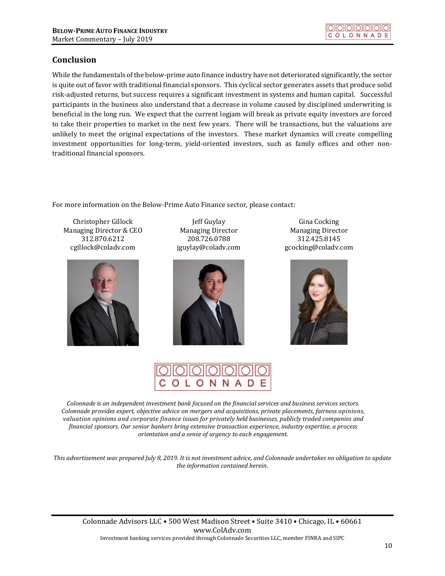# **Conclusion**

While the fundamentals of the below-prime auto finance industry have not deteriorated significantly, the sector is quite out of favor with traditional financial sponsors. This cyclical sector generates assets that produce solid risk-adjusted returns, but success requires a significant investment in systems and human capital. Successful participants in the business also understand that a decrease in volume caused by disciplined underwriting is beneficial in the long run. We expect that the current logjam will break as private equity investors are forced to take their properties to market in the next few years. There will be transactions, but the valuations are unlikely to meet the original expectations of the investors. These market dynamics will create compelling investment opportunities for long-term, yield-oriented investors, such as family offices and other nontraditional financial sponsors.

For more information on the Below-Prime Auto Finance sector, please contact:

Christopher Gillock Managing Director & CEO 312.870.6212 [cgillock@coladv.com](mailto:cgillock@coladv.com)



Jeff Guylay Managing Director 208.726.0788 [jguylay@coladv.com](mailto:jguylay@coladv.com)



Gina Cocking Managing Director 312.425.8145 [gcocking@coladv.com](mailto:gcocking@coladv.com)





*Colonnade is an independent investment bank focused on the financial services and business services sectors. Colonnade provides expert, objective advice on mergers and acquisitions, private placements, fairness opinions, valuation opinions and corporate finance issues for privately held businesses, publicly traded companies and financial sponsors. Our senior bankers bring extensive transaction experience, industry expertise, a process orientation and a sense of urgency to each engagement.*

*This advertisement was prepared July 8, 2019. It is not investment advice, and Colonnade undertakes no obligation to update the information contained herein*.